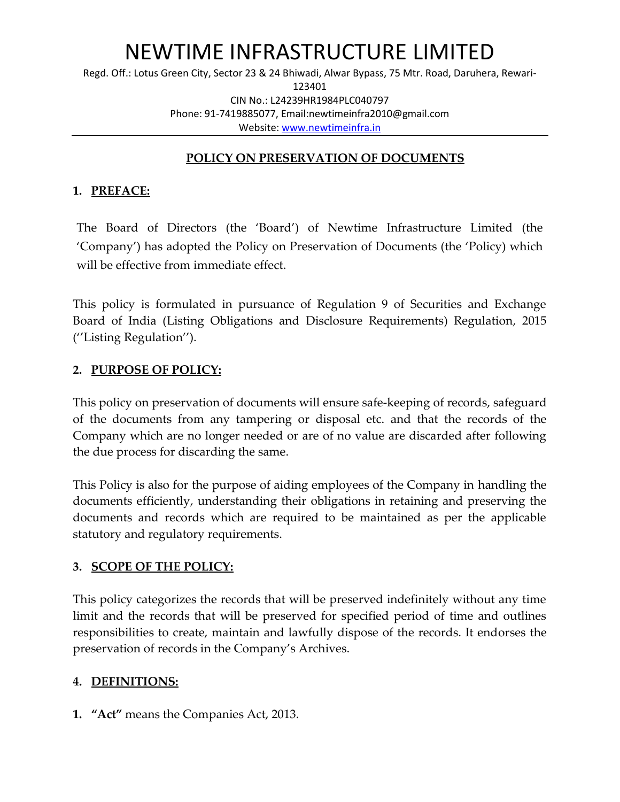Regd. Off.: Lotus Green City, Sector 23 & 24 Bhiwadi, Alwar Bypass, 75 Mtr. Road, Daruhera, Rewari-123401 CIN No.: L24239HR1984PLC040797 Phone: 91-7419885077, Email:newtimeinfra2010@gmail.com Website: [www.newtimeinfra.in](http://www.newtimeinfra.in/)

#### **POLICY ON PRESERVATION OF DOCUMENTS**

#### **1. PREFACE:**

The Board of Directors (the 'Board') of Newtime Infrastructure Limited (the 'Company') has adopted the Policy on Preservation of Documents (the 'Policy) which will be effective from immediate effect.

This policy is formulated in pursuance of Regulation 9 of Securities and Exchange Board of India (Listing Obligations and Disclosure Requirements) Regulation, 2015 (''Listing Regulation'').

#### **2. PURPOSE OF POLICY:**

This policy on preservation of documents will ensure safe-keeping of records, safeguard of the documents from any tampering or disposal etc. and that the records of the Company which are no longer needed or are of no value are discarded after following the due process for discarding the same.

This Policy is also for the purpose of aiding employees of the Company in handling the documents efficiently, understanding their obligations in retaining and preserving the documents and records which are required to be maintained as per the applicable statutory and regulatory requirements.

#### **3. SCOPE OF THE POLICY:**

This policy categorizes the records that will be preserved indefinitely without any time limit and the records that will be preserved for specified period of time and outlines responsibilities to create, maintain and lawfully dispose of the records. It endorses the preservation of records in the Company's Archives.

#### **4. DEFINITIONS:**

**1. "Act"** means the Companies Act, 2013.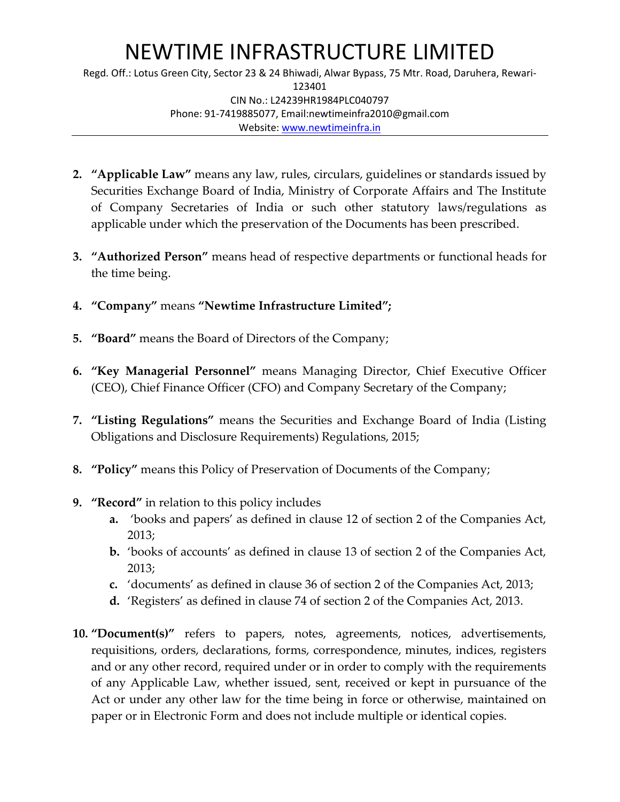Regd. Off.: Lotus Green City, Sector 23 & 24 Bhiwadi, Alwar Bypass, 75 Mtr. Road, Daruhera, Rewari-123401 CIN No.: L24239HR1984PLC040797 Phone: 91-7419885077, Email:newtimeinfra2010@gmail.com Website: [www.newtimeinfra.in](http://www.newtimeinfra.in/)

- **2. "Applicable Law"** means any law, rules, circulars, guidelines or standards issued by Securities Exchange Board of India, Ministry of Corporate Affairs and The Institute of Company Secretaries of India or such other statutory laws/regulations as applicable under which the preservation of the Documents has been prescribed.
- **3. "Authorized Person"** means head of respective departments or functional heads for the time being.
- **4. "Company"** means **"Newtime Infrastructure Limited";**
- **5. "Board"** means the Board of Directors of the Company;
- **6. "Key Managerial Personnel"** means Managing Director, Chief Executive Officer (CEO), Chief Finance Officer (CFO) and Company Secretary of the Company;
- **7. "Listing Regulations"** means the Securities and Exchange Board of India (Listing Obligations and Disclosure Requirements) Regulations, 2015;
- **8. "Policy"** means this Policy of Preservation of Documents of the Company;
- **9. "Record"** in relation to this policy includes
	- **a.** 'books and papers' as defined in clause 12 of section 2 of the Companies Act, 2013;
	- **b.** 'books of accounts' as defined in clause 13 of section 2 of the Companies Act, 2013;
	- **c.** 'documents' as defined in clause 36 of section 2 of the Companies Act, 2013;
	- **d.** 'Registers' as defined in clause 74 of section 2 of the Companies Act, 2013.
- **10. "Document(s)"** refers to papers, notes, agreements, notices, advertisements, requisitions, orders, declarations, forms, correspondence, minutes, indices, registers and or any other record, required under or in order to comply with the requirements of any Applicable Law, whether issued, sent, received or kept in pursuance of the Act or under any other law for the time being in force or otherwise, maintained on paper or in Electronic Form and does not include multiple or identical copies.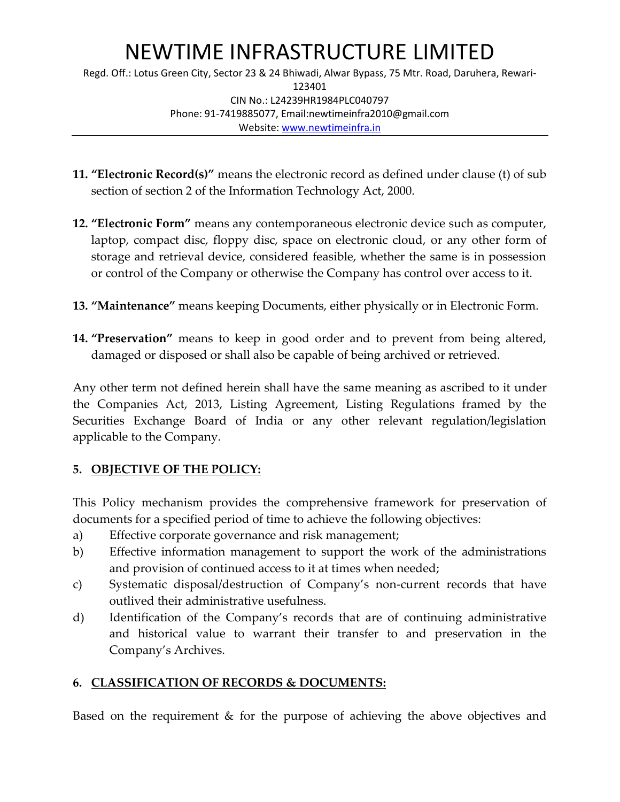Regd. Off.: Lotus Green City, Sector 23 & 24 Bhiwadi, Alwar Bypass, 75 Mtr. Road, Daruhera, Rewari-123401 CIN No.: L24239HR1984PLC040797 Phone: 91-7419885077, Email:newtimeinfra2010@gmail.com Website: [www.newtimeinfra.in](http://www.newtimeinfra.in/)

- **11. "Electronic Record(s)"** means the electronic record as defined under clause (t) of sub section of section 2 of the Information Technology Act, 2000.
- **12. "Electronic Form"** means any contemporaneous electronic device such as computer, laptop, compact disc, floppy disc, space on electronic cloud, or any other form of storage and retrieval device, considered feasible, whether the same is in possession or control of the Company or otherwise the Company has control over access to it.
- **13. "Maintenance"** means keeping Documents, either physically or in Electronic Form.
- **14. "Preservation"** means to keep in good order and to prevent from being altered, damaged or disposed or shall also be capable of being archived or retrieved.

Any other term not defined herein shall have the same meaning as ascribed to it under the Companies Act, 2013, Listing Agreement, Listing Regulations framed by the Securities Exchange Board of India or any other relevant regulation/legislation applicable to the Company.

### **5. OBJECTIVE OF THE POLICY:**

This Policy mechanism provides the comprehensive framework for preservation of documents for a specified period of time to achieve the following objectives:

- a) Effective corporate governance and risk management;
- b) Effective information management to support the work of the administrations and provision of continued access to it at times when needed;
- c) Systematic disposal/destruction of Company's non-current records that have outlived their administrative usefulness.
- d) Identification of the Company's records that are of continuing administrative and historical value to warrant their transfer to and preservation in the Company's Archives.

## **6. CLASSIFICATION OF RECORDS & DOCUMENTS:**

Based on the requirement & for the purpose of achieving the above objectives and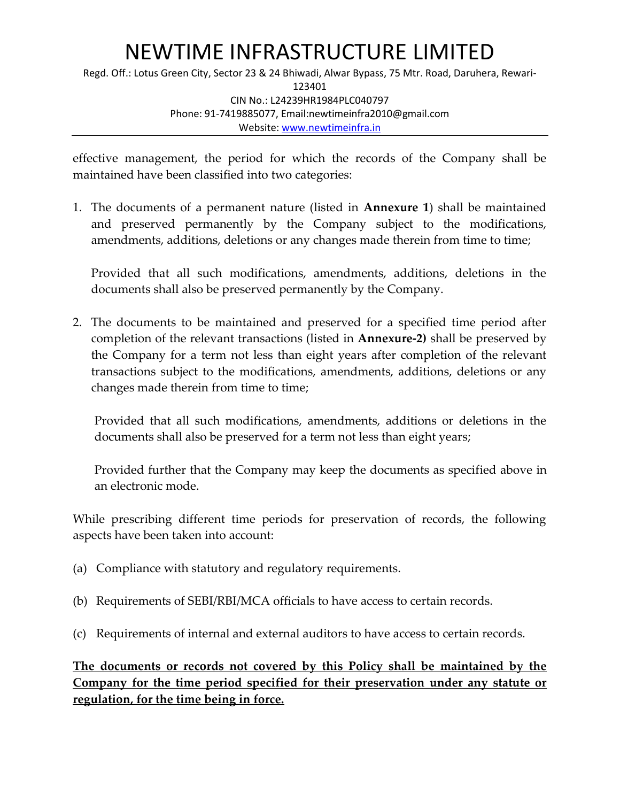Regd. Off.: Lotus Green City, Sector 23 & 24 Bhiwadi, Alwar Bypass, 75 Mtr. Road, Daruhera, Rewari-123401 CIN No.: L24239HR1984PLC040797 Phone: 91-7419885077, Email:newtimeinfra2010@gmail.com Website: [www.newtimeinfra.in](http://www.newtimeinfra.in/)

effective management, the period for which the records of the Company shall be maintained have been classified into two categories:

1. The documents of a permanent nature (listed in **Annexure 1**) shall be maintained and preserved permanently by the Company subject to the modifications, amendments, additions, deletions or any changes made therein from time to time;

Provided that all such modifications, amendments, additions, deletions in the documents shall also be preserved permanently by the Company.

2. The documents to be maintained and preserved for a specified time period after completion of the relevant transactions (listed in **Annexure-2)** shall be preserved by the Company for a term not less than eight years after completion of the relevant transactions subject to the modifications, amendments, additions, deletions or any changes made therein from time to time;

Provided that all such modifications, amendments, additions or deletions in the documents shall also be preserved for a term not less than eight years;

Provided further that the Company may keep the documents as specified above in an electronic mode.

While prescribing different time periods for preservation of records, the following aspects have been taken into account:

- (a) Compliance with statutory and regulatory requirements.
- (b) Requirements of SEBI/RBI/MCA officials to have access to certain records.
- (c) Requirements of internal and external auditors to have access to certain records.

**The documents or records not covered by this Policy shall be maintained by the Company for the time period specified for their preservation under any statute or regulation, for the time being in force.**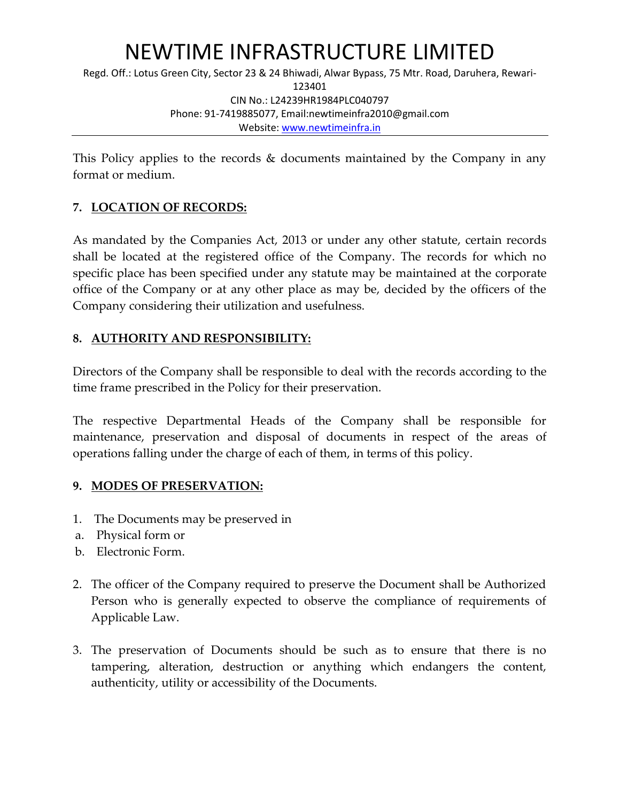Regd. Off.: Lotus Green City, Sector 23 & 24 Bhiwadi, Alwar Bypass, 75 Mtr. Road, Daruhera, Rewari-123401 CIN No.: L24239HR1984PLC040797 Phone: 91-7419885077, Email:newtimeinfra2010@gmail.com Website: [www.newtimeinfra.in](http://www.newtimeinfra.in/)

This Policy applies to the records & documents maintained by the Company in any format or medium.

## **7. LOCATION OF RECORDS:**

As mandated by the Companies Act, 2013 or under any other statute, certain records shall be located at the registered office of the Company. The records for which no specific place has been specified under any statute may be maintained at the corporate office of the Company or at any other place as may be, decided by the officers of the Company considering their utilization and usefulness.

### **8. AUTHORITY AND RESPONSIBILITY:**

Directors of the Company shall be responsible to deal with the records according to the time frame prescribed in the Policy for their preservation.

The respective Departmental Heads of the Company shall be responsible for maintenance, preservation and disposal of documents in respect of the areas of operations falling under the charge of each of them, in terms of this policy.

### **9. MODES OF PRESERVATION:**

- 1. The Documents may be preserved in
- a. Physical form or
- b. Electronic Form.
- 2. The officer of the Company required to preserve the Document shall be Authorized Person who is generally expected to observe the compliance of requirements of Applicable Law.
- 3. The preservation of Documents should be such as to ensure that there is no tampering, alteration, destruction or anything which endangers the content, authenticity, utility or accessibility of the Documents.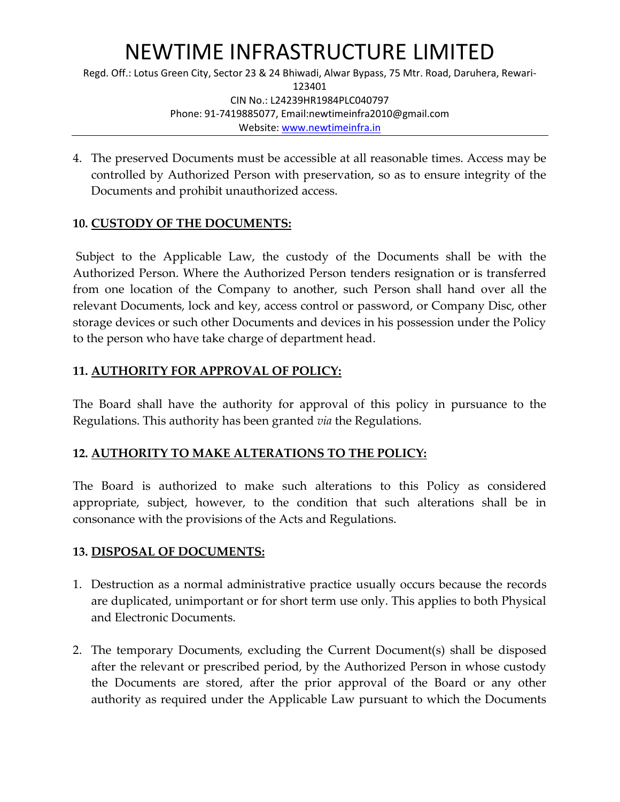Regd. Off.: Lotus Green City, Sector 23 & 24 Bhiwadi, Alwar Bypass, 75 Mtr. Road, Daruhera, Rewari-123401 CIN No.: L24239HR1984PLC040797 Phone: 91-7419885077, Email:newtimeinfra2010@gmail.com Website: [www.newtimeinfra.in](http://www.newtimeinfra.in/)

4. The preserved Documents must be accessible at all reasonable times. Access may be controlled by Authorized Person with preservation, so as to ensure integrity of the Documents and prohibit unauthorized access.

### **10. CUSTODY OF THE DOCUMENTS:**

Subject to the Applicable Law, the custody of the Documents shall be with the Authorized Person. Where the Authorized Person tenders resignation or is transferred from one location of the Company to another, such Person shall hand over all the relevant Documents, lock and key, access control or password, or Company Disc, other storage devices or such other Documents and devices in his possession under the Policy to the person who have take charge of department head.

## **11. AUTHORITY FOR APPROVAL OF POLICY:**

The Board shall have the authority for approval of this policy in pursuance to the Regulations. This authority has been granted *via* the Regulations.

## **12. AUTHORITY TO MAKE ALTERATIONS TO THE POLICY:**

The Board is authorized to make such alterations to this Policy as considered appropriate, subject, however, to the condition that such alterations shall be in consonance with the provisions of the Acts and Regulations.

### **13. DISPOSAL OF DOCUMENTS:**

- 1. Destruction as a normal administrative practice usually occurs because the records are duplicated, unimportant or for short term use only. This applies to both Physical and Electronic Documents.
- 2. The temporary Documents, excluding the Current Document(s) shall be disposed after the relevant or prescribed period, by the Authorized Person in whose custody the Documents are stored, after the prior approval of the Board or any other authority as required under the Applicable Law pursuant to which the Documents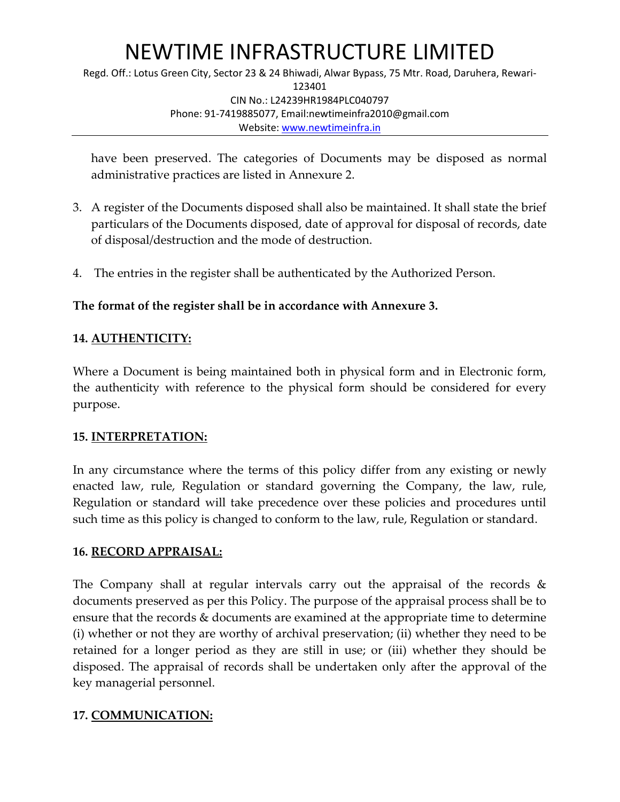Regd. Off.: Lotus Green City, Sector 23 & 24 Bhiwadi, Alwar Bypass, 75 Mtr. Road, Daruhera, Rewari-123401 CIN No.: L24239HR1984PLC040797 Phone: 91-7419885077, Email:newtimeinfra2010@gmail.com Website: [www.newtimeinfra.in](http://www.newtimeinfra.in/)

have been preserved. The categories of Documents may be disposed as normal administrative practices are listed in Annexure 2.

- 3. A register of the Documents disposed shall also be maintained. It shall state the brief particulars of the Documents disposed, date of approval for disposal of records, date of disposal/destruction and the mode of destruction.
- 4. The entries in the register shall be authenticated by the Authorized Person.

## **The format of the register shall be in accordance with Annexure 3.**

## **14. AUTHENTICITY:**

Where a Document is being maintained both in physical form and in Electronic form, the authenticity with reference to the physical form should be considered for every purpose.

### **15. INTERPRETATION:**

In any circumstance where the terms of this policy differ from any existing or newly enacted law, rule, Regulation or standard governing the Company, the law, rule, Regulation or standard will take precedence over these policies and procedures until such time as this policy is changed to conform to the law, rule, Regulation or standard.

### **16. RECORD APPRAISAL:**

The Company shall at regular intervals carry out the appraisal of the records & documents preserved as per this Policy. The purpose of the appraisal process shall be to ensure that the records & documents are examined at the appropriate time to determine (i) whether or not they are worthy of archival preservation; (ii) whether they need to be retained for a longer period as they are still in use; or (iii) whether they should be disposed. The appraisal of records shall be undertaken only after the approval of the key managerial personnel.

## **17. COMMUNICATION:**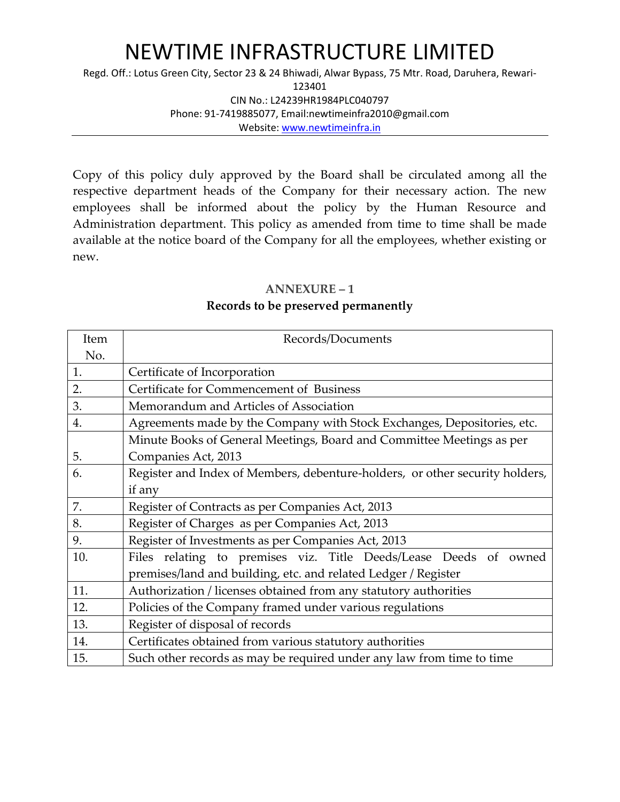Regd. Off.: Lotus Green City, Sector 23 & 24 Bhiwadi, Alwar Bypass, 75 Mtr. Road, Daruhera, Rewari-

123401

CIN No.: L24239HR1984PLC040797 Phone: 91-7419885077, Email:newtimeinfra2010@gmail.com

Website: [www.newtimeinfra.in](http://www.newtimeinfra.in/)

Copy of this policy duly approved by the Board shall be circulated among all the respective department heads of the Company for their necessary action. The new employees shall be informed about the policy by the Human Resource and Administration department. This policy as amended from time to time shall be made available at the notice board of the Company for all the employees, whether existing or new.

#### **ANNEXURE – 1**

#### **Records to be preserved permanently**

| Item | Records/Documents                                                            |  |  |  |  |  |
|------|------------------------------------------------------------------------------|--|--|--|--|--|
| No.  |                                                                              |  |  |  |  |  |
| 1.   | Certificate of Incorporation                                                 |  |  |  |  |  |
| 2.   | Certificate for Commencement of Business                                     |  |  |  |  |  |
| 3.   | Memorandum and Articles of Association                                       |  |  |  |  |  |
| 4.   | Agreements made by the Company with Stock Exchanges, Depositories, etc.      |  |  |  |  |  |
|      | Minute Books of General Meetings, Board and Committee Meetings as per        |  |  |  |  |  |
| 5.   | Companies Act, 2013                                                          |  |  |  |  |  |
| 6.   | Register and Index of Members, debenture-holders, or other security holders, |  |  |  |  |  |
|      | if any                                                                       |  |  |  |  |  |
| 7.   | Register of Contracts as per Companies Act, 2013                             |  |  |  |  |  |
| 8.   | Register of Charges as per Companies Act, 2013                               |  |  |  |  |  |
| 9.   | Register of Investments as per Companies Act, 2013                           |  |  |  |  |  |
| 10.  | Files relating to premises viz. Title Deeds/Lease Deeds of owned             |  |  |  |  |  |
|      | premises/land and building, etc. and related Ledger / Register               |  |  |  |  |  |
| 11.  | Authorization / licenses obtained from any statutory authorities             |  |  |  |  |  |
| 12.  | Policies of the Company framed under various regulations                     |  |  |  |  |  |
| 13.  | Register of disposal of records                                              |  |  |  |  |  |
| 14.  | Certificates obtained from various statutory authorities                     |  |  |  |  |  |
| 15.  | Such other records as may be required under any law from time to time        |  |  |  |  |  |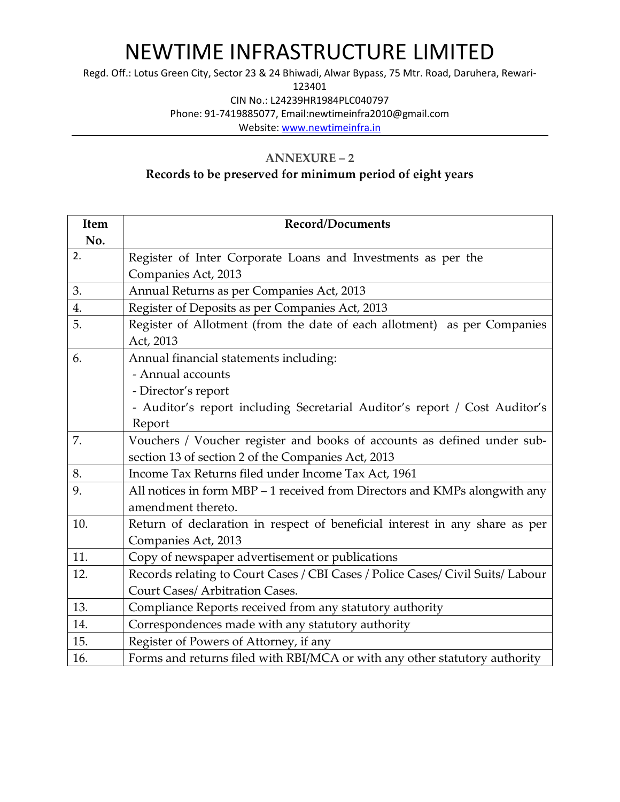Regd. Off.: Lotus Green City, Sector 23 & 24 Bhiwadi, Alwar Bypass, 75 Mtr. Road, Daruhera, Rewari-

123401

CIN No.: L24239HR1984PLC040797

Phone: 91-7419885077, Email:newtimeinfra2010@gmail.com

Website: [www.newtimeinfra.in](http://www.newtimeinfra.in/)

#### **ANNEXURE – 2**

## **Records to be preserved for minimum period of eight years**

| Item | <b>Record/Documents</b>                                                         |  |  |  |  |  |
|------|---------------------------------------------------------------------------------|--|--|--|--|--|
| No.  |                                                                                 |  |  |  |  |  |
| 2.   | Register of Inter Corporate Loans and Investments as per the                    |  |  |  |  |  |
|      | Companies Act, 2013                                                             |  |  |  |  |  |
| 3.   | Annual Returns as per Companies Act, 2013                                       |  |  |  |  |  |
| 4.   | Register of Deposits as per Companies Act, 2013                                 |  |  |  |  |  |
| 5.   | Register of Allotment (from the date of each allotment) as per Companies        |  |  |  |  |  |
|      | Act, 2013                                                                       |  |  |  |  |  |
| 6.   | Annual financial statements including:                                          |  |  |  |  |  |
|      | - Annual accounts                                                               |  |  |  |  |  |
|      | - Director's report                                                             |  |  |  |  |  |
|      | - Auditor's report including Secretarial Auditor's report / Cost Auditor's      |  |  |  |  |  |
|      | Report                                                                          |  |  |  |  |  |
| 7.   | Vouchers / Voucher register and books of accounts as defined under sub-         |  |  |  |  |  |
|      | section 13 of section 2 of the Companies Act, 2013                              |  |  |  |  |  |
| 8.   | Income Tax Returns filed under Income Tax Act, 1961                             |  |  |  |  |  |
| 9.   | All notices in form MBP - 1 received from Directors and KMPs alongwith any      |  |  |  |  |  |
|      | amendment thereto.                                                              |  |  |  |  |  |
| 10.  | Return of declaration in respect of beneficial interest in any share as per     |  |  |  |  |  |
|      | Companies Act, 2013                                                             |  |  |  |  |  |
| 11.  | Copy of newspaper advertisement or publications                                 |  |  |  |  |  |
| 12.  | Records relating to Court Cases / CBI Cases / Police Cases/ Civil Suits/ Labour |  |  |  |  |  |
|      | Court Cases/ Arbitration Cases.                                                 |  |  |  |  |  |
| 13.  | Compliance Reports received from any statutory authority                        |  |  |  |  |  |
| 14.  | Correspondences made with any statutory authority                               |  |  |  |  |  |
| 15.  | Register of Powers of Attorney, if any                                          |  |  |  |  |  |
| 16.  | Forms and returns filed with RBI/MCA or with any other statutory authority      |  |  |  |  |  |